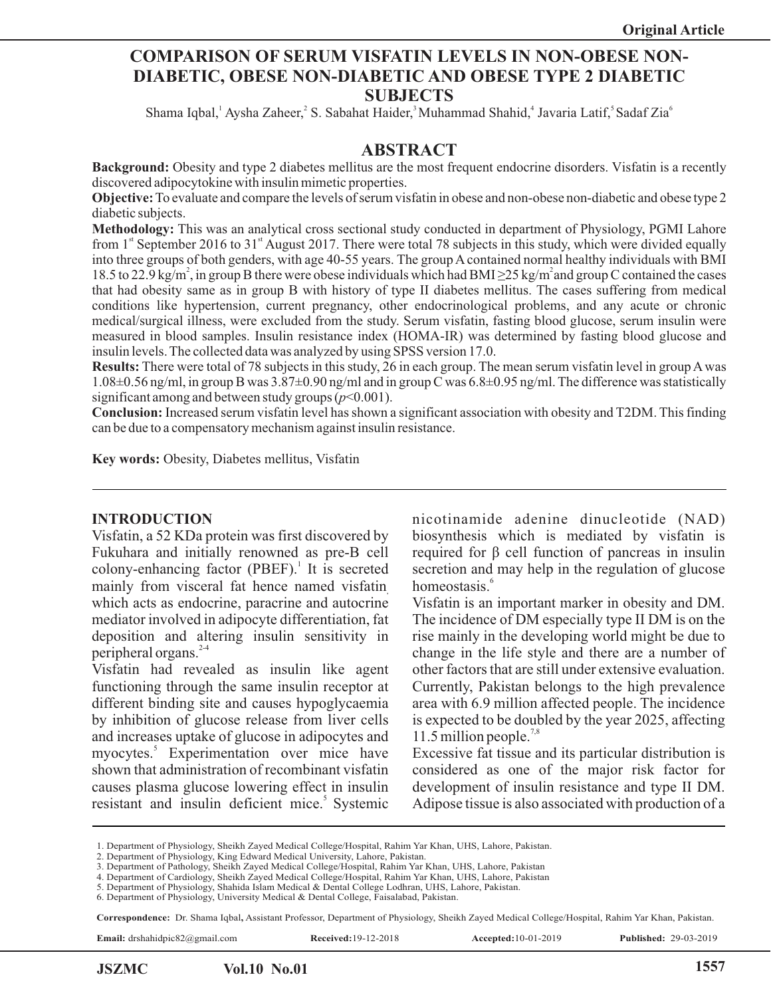### **COMPARISON OF SERUM VISFATIN LEVELS IN NON-OBESE NON-DIABETIC, OBESE NON-DIABETIC AND OBESE TYPE 2 DIABETIC SUBJECTS**

Shama Iqbal, Aysha Zaheer, S. Sabahat Haider, Muhammad Shahid, Javaria Latif, Sadaf Zia

#### **ABSTRACT**

**Background:** Obesity and type 2 diabetes mellitus are the most frequent endocrine disorders. Visfatin is a recently discovered adipocytokine with insulin mimetic properties.

**Objective:**To evaluate and compare the levels of serum visfatin in obese and non-obese non-diabetic and obese type 2 diabetic subjects.

**Methodology:** This was an analytical cross sectional study conducted in department of Physiology, PGMI Lahore from  $1<sup>st</sup>$  September 2016 to 31<sup>st</sup> August 2017. There were total 78 subjects in this study, which were divided equally into three groups of both genders, with age 40-55 years. The group Acontained normal healthy individuals with BMI 18.5 to 22.9 kg/m<sup>2</sup>, in group B there were obese individuals which had BMI  $\geq$ 25 kg/m<sup>2</sup> and group C contained the cases that had obesity same as in group B with history of type II diabetes mellitus. The cases suffering from medical conditions like hypertension, current pregnancy, other endocrinological problems, and any acute or chronic medical/surgical illness, were excluded from the study. Serum visfatin, fasting blood glucose, serum insulin were measured in blood samples. Insulin resistance index (HOMA-IR) was determined by fasting blood glucose and insulin levels. The collected data was analyzed by using SPSS version 17.0.

**Results:** There were total of 78 subjects in this study, 26 in each group. The mean serum visfatin level in group Awas  $1.08\pm0.56$  ng/ml, in group B was  $3.87\pm0.90$  ng/ml and in group C was  $6.8\pm0.95$  ng/ml. The difference was statistically significant among and between study groups  $(p<0.001)$ .

**Conclusion:** Increased serum visfatin level has shown a significant association with obesity and T2DM. This finding can be due to a compensatory mechanism against insulin resistance.

**Key words:** Obesity, Diabetes mellitus, Visfatin

#### **INTRODUCTION**

Visfatin, a 52 KDa protein was first discovered by Fukuhara and initially renowned as pre-B cell colony-enhancing factor (PBEF).<sup>1</sup> It is secreted mainly from visceral fat hence named visfatin which acts as endocrine, paracrine and autocrine mediator involved in adipocyte differentiation, fat deposition and altering insulin sensitivity in peripheral organs.<sup>2-4</sup>

Visfatin had revealed as insulin like agent functioning through the same insulin receptor at different binding site and causes hypoglycaemia by inhibition of glucose release from liver cells and increases uptake of glucose in adipocytes and myocytes.<sup>5</sup> Experimentation over mice have shown that administration of recombinant visfatin causes plasma glucose lowering effect in insulin resistant and insulin deficient mice.<sup>5</sup> Systemic nicotinamide adenine dinucleotide (NAD) biosynthesis which is mediated by visfatin is required for β cell function of pancreas in insulin secretion and may help in the regulation of glucose homeostasis.<sup>6</sup>

Visfatin is an important marker in obesity and DM. The incidence of DM especially type II DM is on the rise mainly in the developing world might be due to change in the life style and there are a number of other factors that are still under extensive evaluation. Currently, Pakistan belongs to the high prevalence area with 6.9 million affected people. The incidence is expected to be doubled by the year 2025, affecting 11.5 million people. $7,8$ 

Excessive fat tissue and its particular distribution is considered as one of the major risk factor for development of insulin resistance and type II DM. Adipose tissue is also associated with production of a

1. Department of Physiology, Sheikh Zayed Medical College/Hospital, Rahim Yar Khan, UHS, Lahore, Pakistan.

**Correspondence:** Dr. Shama Iqbal**,** Assistant Professor, Department of Physiology, Sheikh Zayed Medical College/Hospital, Rahim Yar Khan, Pakistan.

**Email:** drshahidpic82@gmail.com **Received:**19-12-2018 **Accepted:**10-01-2019 **Published:** 29-03-2019

l

**JSZMC Vol.10 No.01 1557**

<sup>2.</sup> Department of Physiology, King Edward Medical University, Lahore, Pakistan.

<sup>3.</sup> Department of Pathology, Sheikh Zayed Medical College/Hospital, Rahim Yar Khan, UHS, Lahore, Pakistan

<sup>4.</sup> Department of Cardiology, Sheikh Zayed Medical College/Hospital, Rahim Yar Khan, UHS, Lahore, Pakistan

<sup>5.</sup> Department of Physiology, Shahida Islam Medical & Dental College Lodhran, UHS, Lahore, Pakistan.

<sup>6.</sup> Department of Physiology, University Medical & Dental College, Faisalabad, Pakistan.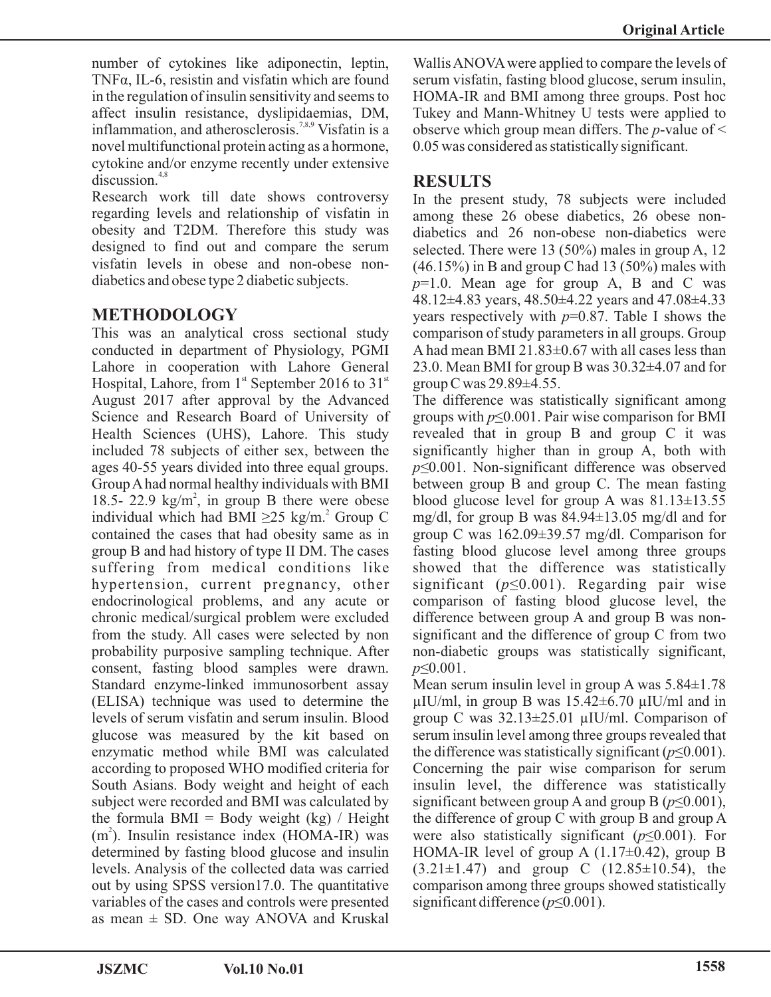number of cytokines like adiponectin, leptin, TNFα, IL-6, resistin and visfatin which are found in the regulation of insulin sensitivity and seems to affect insulin resistance, dyslipidaemias, DM, inflammation, and atherosclerosis.<sup>7,8,9</sup> Visfatin is a novel multifunctional protein acting as a hormone, cytokine and/or enzyme recently under extensive  $discussion<sup>4,8</sup>$ 

Research work till date shows controversy regarding levels and relationship of visfatin in obesity and T2DM. Therefore this study was designed to find out and compare the serum visfatin levels in obese and non-obese nondiabetics and obese type 2 diabetic subjects.

## **METHODOLOGY**

This was an analytical cross sectional study conducted in department of Physiology, PGMI Lahore in cooperation with Lahore General Hospital, Lahore, from  $1<sup>st</sup>$  September 2016 to 31 $<sup>st</sup>$ </sup> August 2017 after approval by the Advanced Science and Research Board of University of Health Sciences (UHS), Lahore. This study included 78 subjects of either sex, between the ages 40-55 years divided into three equal groups. Group Ahad normal healthy individuals with BMI 18.5- 22.9 kg/m<sup>2</sup>, in group B there were obese individual which had BMI  $\geq$ 25 kg/m.<sup>2</sup> Group C contained the cases that had obesity same as in group B and had history of type II DM. The cases suffering from medical conditions like hypertension, current pregnancy, other endocrinological problems, and any acute or chronic medical/surgical problem were excluded from the study. All cases were selected by non probability purposive sampling technique. After consent, fasting blood samples were drawn. Standard enzyme-linked immunosorbent assay (ELISA) technique was used to determine the levels of serum visfatin and serum insulin. Blood glucose was measured by the kit based on enzymatic method while BMI was calculated according to proposed WHO modified criteria for South Asians. Body weight and height of each subject were recorded and BMI was calculated by the formula  $BMI = Body$  weight (kg) / Height (m<sup>2</sup>). Insulin resistance index (HOMA-IR) was determined by fasting blood glucose and insulin levels. Analysis of the collected data was carried out by using SPSS version17.0. The quantitative variables of the cases and controls were presented as mean  $\pm$  SD. One way ANOVA and Kruskal

Wallis ANOVA were applied to compare the levels of serum visfatin, fasting blood glucose, serum insulin, HOMA-IR and BMI among three groups. Post hoc Tukey and Mann-Whitney U tests were applied to observe which group mean differs. The *p*-value of < 0.05 was considered as statistically significant.

# **RESULTS**

In the present study, 78 subjects were included among these 26 obese diabetics, 26 obese nondiabetics and 26 non-obese non-diabetics were selected. There were 13 (50%) males in group A, 12  $(46.15\%)$  in B and group C had 13 (50%) males with *p*=1.0. Mean age for group A, B and C was 48.12±4.83 years, 48.50±4.22 years and 47.08±4.33 years respectively with *p*=0.87. Table I shows the comparison of study parameters in all groups. Group A had mean BMI 21.83 $\pm$ 0.67 with all cases less than 23.0. Mean BMI for group B was 30.32±4.07 and for group C was  $29.89\pm4.55$ .

The difference was statistically significant among groups with *p*≤0.001. Pair wise comparison for BMI revealed that in group B and group C it was significantly higher than in group A, both with *p*≤0.001. Non-significant difference was observed between group B and group C. The mean fasting blood glucose level for group A was  $81.13 \pm 13.55$ mg/dl, for group B was 84.94±13.05 mg/dl and for group C was 162.09±39.57 mg/dl. Comparison for fasting blood glucose level among three groups showed that the difference was statistically significant (*p*≤0.001). Regarding pair wise comparison of fasting blood glucose level, the difference between group A and group B was nonsignificant and the difference of group C from two non-diabetic groups was statistically significant, *p*≤0.001.

Mean serum insulin level in group A was 5.84±1.78  $\mu$ IU/ml, in group B was 15.42 $\pm$ 6.70  $\mu$ IU/ml and in group C was 32.13±25.01 µIU/ml. Comparison of serum insulin level among three groups revealed that the difference was statistically significant ( $p \le 0.001$ ). Concerning the pair wise comparison for serum insulin level, the difference was statistically significant between group A and group B ( $p \le 0.001$ ), the difference of group C with group B and group A were also statistically significant (*p*≤0.001). For HOMA-IR level of group A  $(1.17\pm0.42)$ , group B  $(3.21 \pm 1.47)$  and group C  $(12.85 \pm 10.54)$ , the comparison among three groups showed statistically significant difference (*p*≤0.001).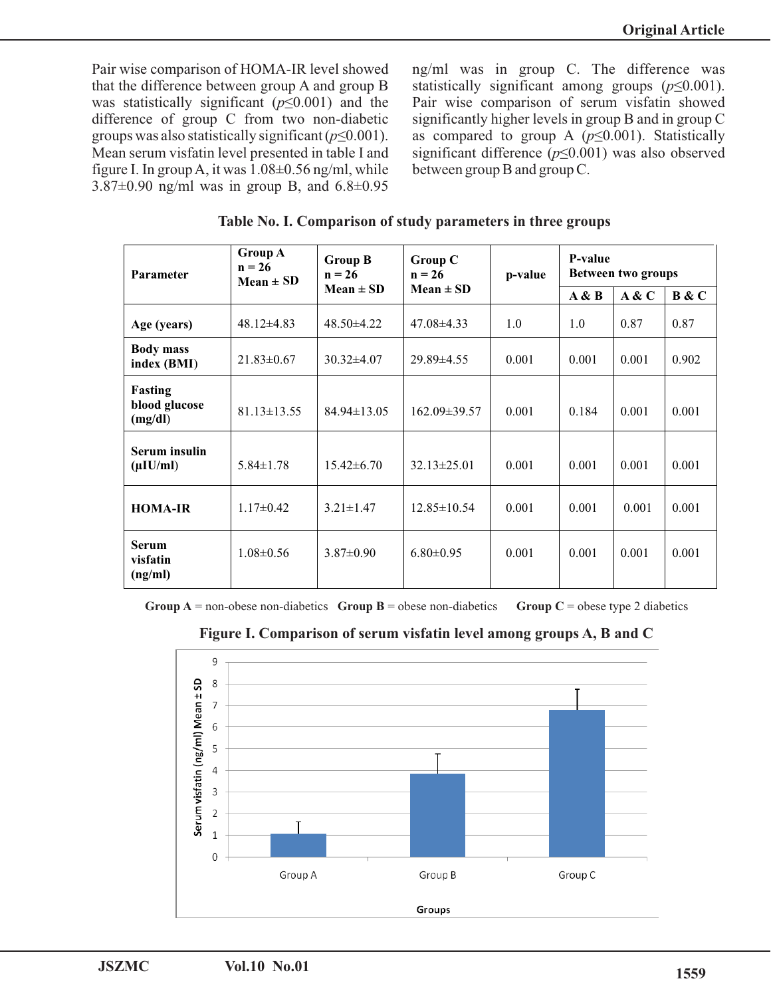Pair wise comparison of HOMA-IR level showed that the difference between group A and group B was statistically significant (*p*≤0.001) and the difference of group C from two non-diabetic groups was also statistically significant (*p*≤0.001). Mean serum visfatin level presented in table I and figure I. In group A, it was  $1.08 \pm 0.56$  ng/ml, while 3.87 $\pm$ 0.90 ng/ml was in group B, and 6.8 $\pm$ 0.95

ng/ml was in group C. The difference was statistically significant among groups  $(p \le 0.001)$ . Pair wise comparison of serum visfatin showed significantly higher levels in group B and in group C as compared to group A  $(p \le 0.001)$ . Statistically significant difference  $(p \le 0.001)$  was also observed between group B and group C.

| Parameter                                  | <b>Group A</b><br>$n = 26$<br>$Mean \pm SD$ | <b>Group B</b><br>$n = 26$<br>$Mean \pm SD$ | <b>Group C</b><br>$n = 26$<br>$Mean \pm SD$ | p-value | P-value<br>Between two groups |       |       |
|--------------------------------------------|---------------------------------------------|---------------------------------------------|---------------------------------------------|---------|-------------------------------|-------|-------|
|                                            |                                             |                                             |                                             |         | A & B                         | A & C | B & C |
| Age (years)                                | $48.12\pm4.83$                              | $48.50 \pm 4.22$                            | $47.08\pm4.33$                              | 1.0     | 1.0                           | 0.87  | 0.87  |
| <b>Body mass</b><br>index (BMI)            | $21.83 \pm 0.67$                            | $30.32 \pm 4.07$                            | 29.89±4.55                                  | 0.001   | 0.001                         | 0.001 | 0.902 |
| <b>Fasting</b><br>blood glucose<br>(mg/dl) | $81.13 \pm 13.55$                           | $84.94 \pm 13.05$                           | $162.09 \pm 39.57$                          | 0.001   | 0.184                         | 0.001 | 0.001 |
| Serum insulin<br>$(\mu I U/ml)$            | $5.84 \pm 1.78$                             | $15.42 \pm 6.70$                            | $32.13 \pm 25.01$                           | 0.001   | 0.001                         | 0.001 | 0.001 |
| <b>HOMA-IR</b>                             | $1.17 \pm 0.42$                             | $3.21 \pm 1.47$                             | $12.85 \pm 10.54$                           | 0.001   | 0.001                         | 0.001 | 0.001 |
| <b>Serum</b><br>visfatin<br>(ng/ml)        | $1.08 \pm 0.56$                             | $3.87 \pm 0.90$                             | $6.80 \pm 0.95$                             | 0.001   | 0.001                         | 0.001 | 0.001 |

**Table No. I. Comparison of study parameters in three groups** 

**Group A** = non-obese non-diabetics **Group B** = obese non-diabetics **Group C** = obese type 2 diabetics



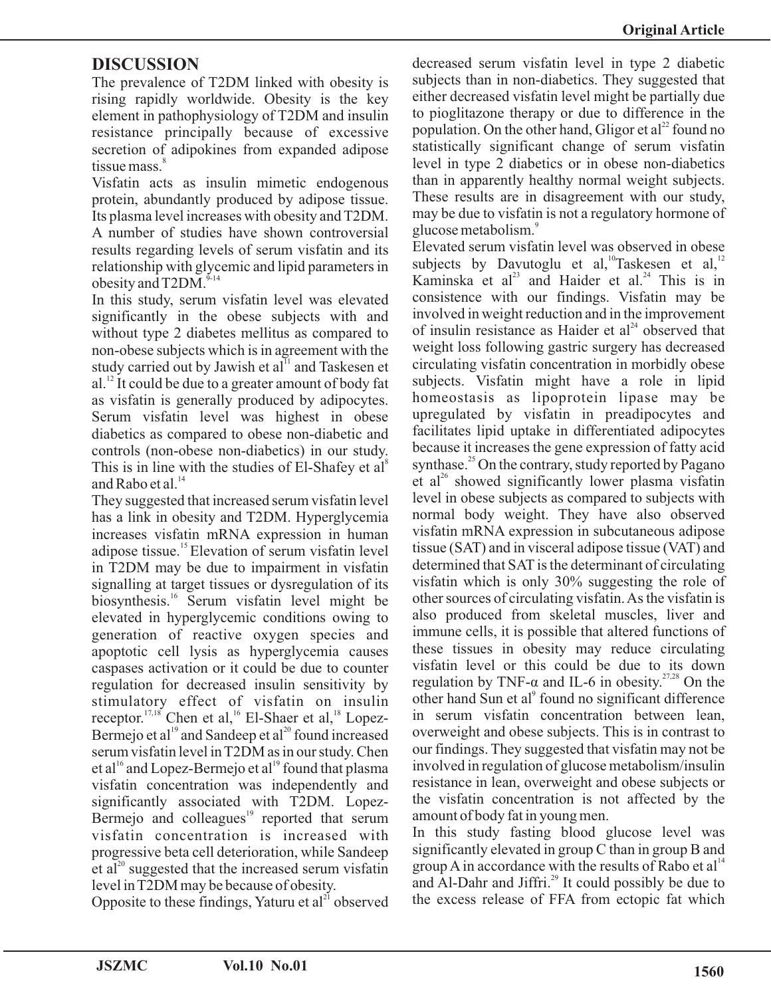# **DISCUSSION**

The prevalence of T2DM linked with obesity is rising rapidly worldwide. Obesity is the key element in pathophysiology of T2DM and insulin resistance principally because of excessive secretion of adipokines from expanded adipose tissue mass.<sup>8</sup>

Visfatin acts as insulin mimetic endogenous protein, abundantly produced by adipose tissue. Its plasma level increases with obesity and T2DM. A number of studies have shown controversial results regarding levels of serum visfatin and its relationship with glycemic and lipid parameters in obesity and  $T2DM$ .<sup> $9-14$ </sup>

In this study, serum visfatin level was elevated significantly in the obese subjects with and without type 2 diabetes mellitus as compared to non-obese subjects which is in agreement with the study carried out by Jawish et al<sup>11</sup> and Taskesen et al. $^{12}$  It could be due to a greater amount of body fat as visfatin is generally produced by adipocytes. Serum visfatin level was highest in obese diabetics as compared to obese non-diabetic and controls (non-obese non-diabetics) in our study. This is in line with the studies of El-Shafey et al<sup>8</sup> and Rabo et al.<sup>14</sup>

They suggested that increased serum visfatin level has a link in obesity and T2DM. Hyperglycemia increases visfatin mRNA expression in human adipose tissue.<sup>15</sup> Elevation of serum visfatin level in T2DM may be due to impairment in visfatin signalling at target tissues or dysregulation of its biosynthesis.<sup>16</sup> Serum visfatin level might be elevated in hyperglycemic conditions owing to generation of reactive oxygen species and apoptotic cell lysis as hyperglycemia causes caspases activation or it could be due to counter regulation for decreased insulin sensitivity by stimulatory effect of visfatin on insulin receptor.  $17,18$ <sup>16</sup> Chen et al, <sup>16</sup> El-Shaer et al, <sup>18</sup> Lopez-Bermejo et al<sup>19</sup> and Sandeep et al<sup>20</sup> found increased serum visfatin level in T2DM as in our study. Chen et al<sup>16</sup> and Lopez-Bermejo et al<sup>19</sup> found that plasma visfatin concentration was independently and significantly associated with T2DM. Lopez- $19$  Bermejo and colleagues<sup>19</sup> reported that serum visfatin concentration is increased with progressive beta cell deterioration, while Sandeep et al<sup>20</sup> suggested that the increased serum visfatin level in T2DM may be because of obesity.

Opposite to these findings, Yaturu et  $al<sup>21</sup>$  observed

decreased serum visfatin level in type 2 diabetic subjects than in non-diabetics. They suggested that either decreased visfatin level might be partially due to pioglitazone therapy or due to difference in the population. On the other hand, Gligor et  $al<sup>22</sup>$  found no statistically significant change of serum visfatin level in type 2 diabetics or in obese non-diabetics than in apparently healthy normal weight subjects. These results are in disagreement with our study, may be due to visfatin is not a regulatory hormone of glucose metabolism.<sup>9</sup>

Elevated serum visfatin level was observed in obese subjects by Davutoglu et al,  $T$ askesen et al,  $12$ Kaminska et al<sup>23</sup> and Haider et al.<sup>24</sup> This is in consistence with our findings. Visfatin may be involved in weight reduction and in the improvement of insulin resistance as Haider et  $al<sup>24</sup>$  observed that weight loss following gastric surgery has decreased circulating visfatin concentration in morbidly obese subjects. Visfatin might have a role in lipid homeostasis as lipoprotein lipase may be upregulated by visfatin in preadipocytes and facilitates lipid uptake in differentiated adipocytes because it increases the gene expression of fatty acid synthase.<sup>25</sup> On the contrary, study reported by Pagano et al<sup>26</sup> showed significantly lower plasma visfatin level in obese subjects as compared to subjects with normal body weight. They have also observed visfatin mRNA expression in subcutaneous adipose tissue (SAT) and in visceral adipose tissue (VAT) and determined that SAT is the determinant of circulating visfatin which is only 30% suggesting the role of other sources of circulating visfatin. As the visfatin is also produced from skeletal muscles, liver and immune cells, it is possible that altered functions of these tissues in obesity may reduce circulating visfatin level or this could be due to its down regulation by TNF- $\alpha$  and IL-6 in obesity.<sup>27,28</sup> On the other hand Sun et al<sup>9</sup> found no significant difference in serum visfatin concentration between lean, overweight and obese subjects. This is in contrast to our findings. They suggested that visfatin may not be involved in regulation of glucose metabolism/insulin resistance in lean, overweight and obese subjects or the visfatin concentration is not affected by the amount of body fat in young men.

In this study fasting blood glucose level was significantly elevated in group C than in group B and group A in accordance with the results of Rabo et al<sup>14</sup> and Al-Dahr and Jiffri. $^{29}$  It could possibly be due to the excess release of FFA from ectopic fat which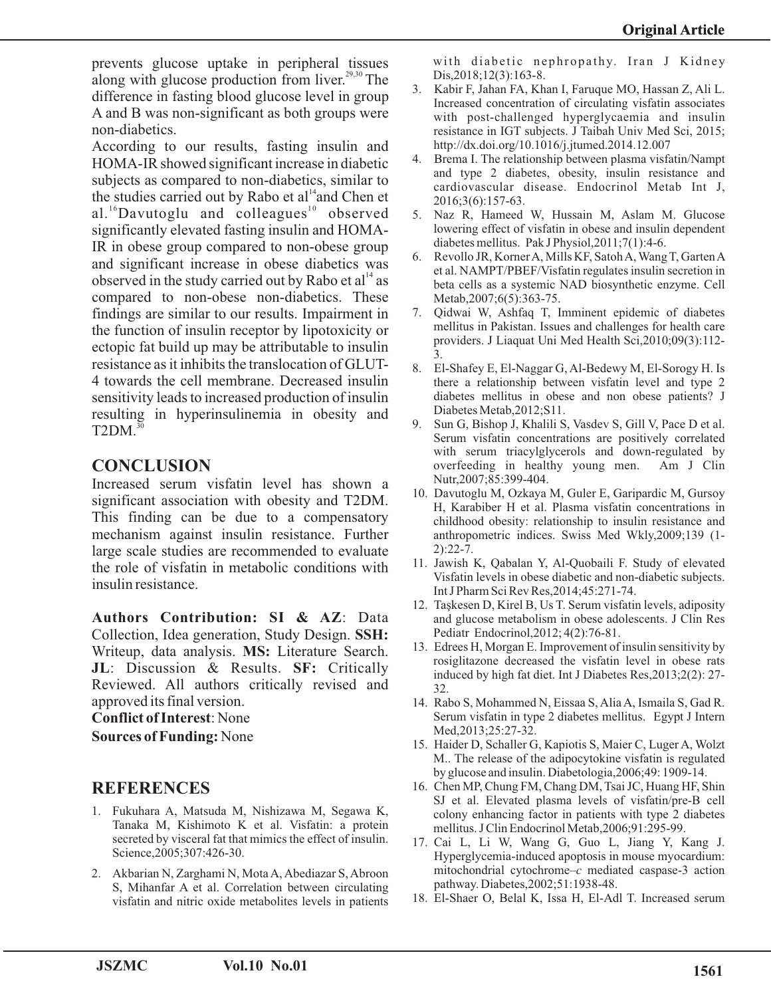prevents glucose uptake in peripheral tissues along with glucose production from liver. $29,30$  The difference in fasting blood glucose level in group A and B was non-significant as both groups were non-diabetics.

According to our results, fasting insulin and HOMA-IR showed significant increase in diabetic subjects as compared to non-diabetics, similar to the studies carried out by Rabo et  $al<sup>14</sup>$  and Chen et al.<sup>16</sup>Davutoglu and colleagues<sup>10</sup> observed significantly elevated fasting insulin and HOMA-IR in obese group compared to non-obese group and significant increase in obese diabetics was observed in the study carried out by Rabo et  $al<sup>14</sup>$  as compared to non-obese non-diabetics. These findings are similar to our results. Impairment in the function of insulin receptor by lipotoxicity or ectopic fat build up may be attributable to insulin resistance as it inhibits the translocation of GLUT-4 towards the cell membrane. Decreased insulin sensitivity leads to increased production of insulin resulting in hyperinsulinemia in obesity and  $T2DM.<sup>30</sup>$ 

## **CONCLUSION**

Increased serum visfatin level has shown a significant association with obesity and T2DM. This finding can be due to a compensatory mechanism against insulin resistance. Further large scale studies are recommended to evaluate the role of visfatin in metabolic conditions with insulin resistance.

**Authors Contribution: SI & AZ**: Data Collection, Idea generation, Study Design. **SSH:** Writeup, data analysis. **MS:** Literature Search. **JL**: Discussion & Results. **SF:** Critically Reviewed. All authors critically revised and approved its final version.

**Conflict of Interest**: None

**Sources of Funding:** None

## **REFERENCES**

- 1. Fukuhara A, Matsuda M, Nishizawa M, Segawa K, Tanaka M, Kishimoto K et al. Visfatin: a protein secreted by visceral fat that mimics the effect of insulin. Science,2005;307:426-30.
- 2. Akbarian N, Zarghami N, Mota A, Abediazar S, Abroon S, Mihanfar A et al. Correlation between circulating visfatin and nitric oxide metabolites levels in patients

with diabetic nephropathy. Iran J Kidney Dis,2018;12(3):163-8.

- 3. Kabir F, Jahan FA, Khan I, Faruque MO, Hassan Z, Ali L. Increased concentration of circulating visfatin associates with post-challenged hyperglycaemia and insulin resistance in IGT subjects. J Taibah Univ Med Sci, 2015; http://dx.doi.org/10.1016/j.jtumed.2014.12.007
- 4. Brema I. The relationship between plasma visfatin/Nampt and type 2 diabetes, obesity, insulin resistance and cardiovascular disease. Endocrinol Metab Int J, 2016;3(6):157-63.
- 5. Naz R, Hameed W, Hussain M, Aslam M. Glucose lowering effect of visfatin in obese and insulin dependent diabetes mellitus. Pak J Physiol,2011;7(1):4-6.
- 6. Revollo JR, Korner A, Mills KF, Satoh A, Wang T, Garten A et al. NAMPT/PBEF/Visfatin regulates insulin secretion in beta cells as a systemic NAD biosynthetic enzyme. Cell Metab, 2007; 6(5): 363-75.
- 7. Qidwai W, Ashfaq T, Imminent epidemic of diabetes mellitus in Pakistan. Issues and challenges for health care providers. J Liaquat Uni Med Health Sci,2010;09(3):112- 3.
- 8. El-Shafey E, El-Naggar G, Al-Bedewy M, El-Sorogy H. Is there a relationship between visfatin level and type 2 diabetes mellitus in obese and non obese patients? J Diabetes Metab,2012;S11.
- 9. Sun G, Bishop J, Khalili S, Vasdev S, Gill V, Pace D et al. Serum visfatin concentrations are positively correlated with serum triacylglycerols and down-regulated by overfeeding in healthy young men. Am J Clin Nutr,2007;85:399-404.
- 10. Davutoglu M, Ozkaya M, Guler E, Garipardic M, Gursoy H, Karabiber H et al. Plasma visfatin concentrations in childhood obesity: relationship to insulin resistance and anthropometric indices. Swiss Med Wkly,2009;139 (1- 2):22-7.
- 11. Jawish K, Qabalan Y, Al-Quobaili F. Study of elevated Visfatin levels in obese diabetic and non-diabetic subjects. Int J Pharm Sci Rev Res,2014;45:271-74.
- 12. Taşkesen D, Kirel B, Us T. Serum visfatin levels, adiposity and glucose metabolism in obese adolescents. J Clin Res Pediatr Endocrinol,2012; 4(2):76-81.
- 13. Edrees H, Morgan E. Improvement of insulin sensitivity by rosiglitazone decreased the visfatin level in obese rats induced by high fat diet. Int J Diabetes Res,2013;2(2): 27- 32.
- 14. Rabo S, Mohammed N, Eissaa S, Alia A, Ismaila S, Gad R. Serum visfatin in type 2 diabetes mellitus. Egypt J Intern Med,2013;25:27-32.
- 15. Haider D, Schaller G, Kapiotis S, Maier C, Luger A, Wolzt M.. The release of the adipocytokine visfatin is regulated by glucose and insulin. Diabetologia,2006;49: 1909-14.
- 16. Chen MP, Chung FM, Chang DM, Tsai JC, Huang HF, Shin SJ et al. Elevated plasma levels of visfatin/pre-B cell colony enhancing factor in patients with type 2 diabetes mellitus. J Clin Endocrinol Metab,2006;91:295-99.
- 17. Cai L, Li W, Wang G, Guo L, Jiang Y, Kang J. Hyperglycemia-induced apoptosis in mouse myocardium: mitochondrial cytochrome–*c* mediated caspase-3 action pathway. Diabetes,2002;51:1938-48.
- 18. El-Shaer O, Belal K, Issa H, El-Adl T. Increased serum